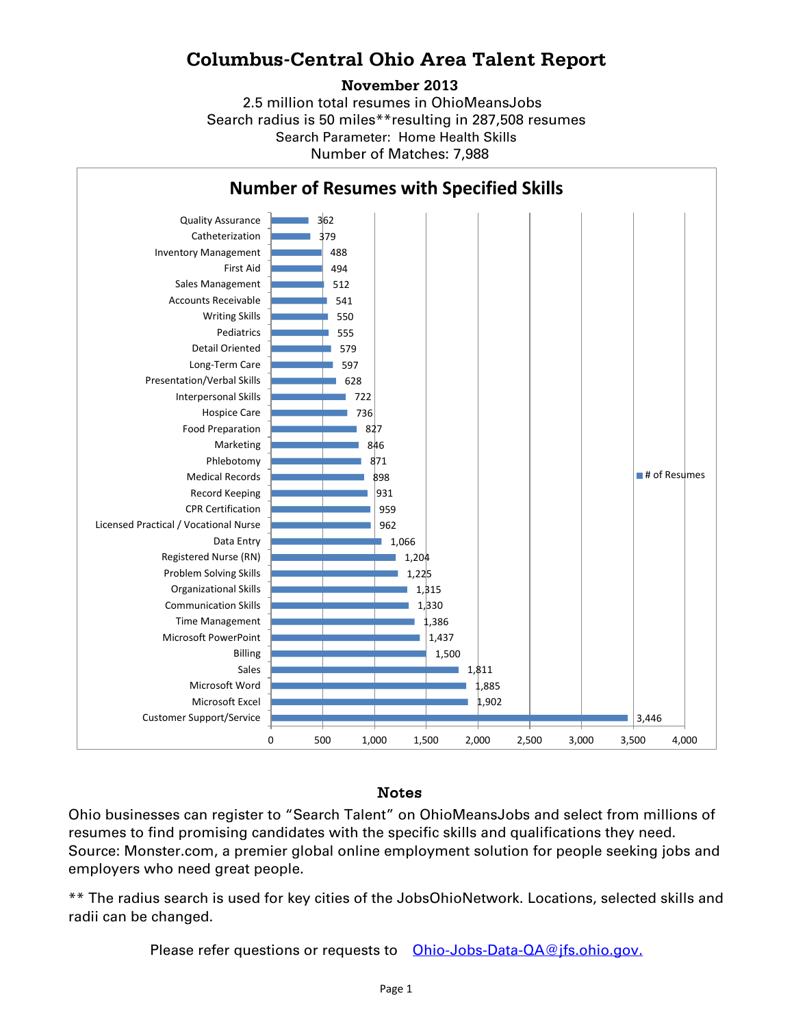## **Columbus-Central Ohio Area Talent Report**

## **November 2013**

2.5 million total resumes in OhioMeansJobs Search radius is 50 miles\*\*resulting in 287,508 resumes Number of Matches: 7,988 Search Parameter: Home Health Skills



## Notes

Ohio businesses can register to "Search Talent" on OhioMeansJobs and select from millions of resumes to find promising candidates with the specific skills and qualifications they need. Source: Monster.com, a premier global online employment solution for people seeking jobs and employers who need great people.

\*\* The radius search is used for key cities of the JobsOhioNetwork. Locations, selected skills and radii can be changed.

Please refer questions or requests to [Ohio-Jobs-Data-QA@jfs.ohio.gov.](mailto:Ohio-Jobs-Data-QA@jfs.ohio.gov.)